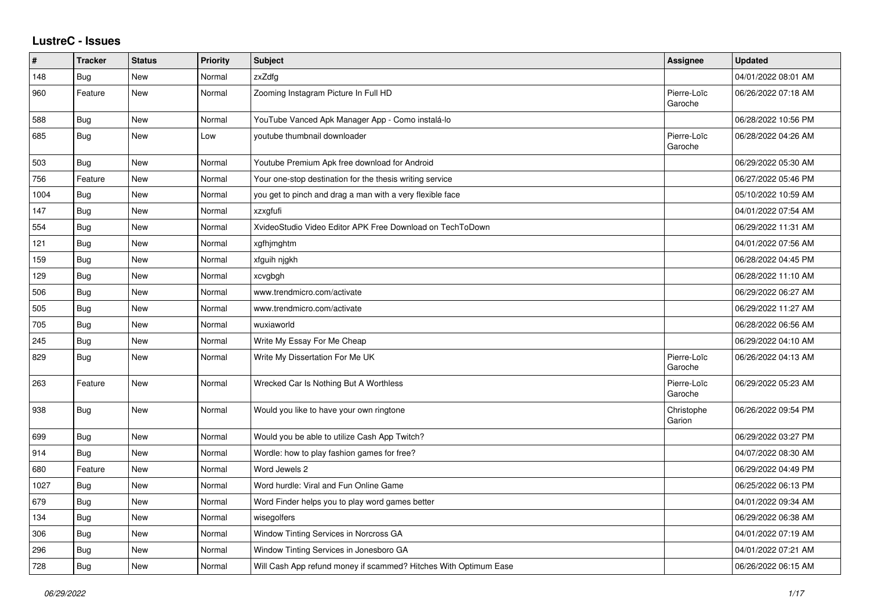## **LustreC - Issues**

| #    | <b>Tracker</b> | <b>Status</b> | <b>Priority</b> | <b>Subject</b>                                                   | Assignee               | <b>Updated</b>      |
|------|----------------|---------------|-----------------|------------------------------------------------------------------|------------------------|---------------------|
| 148  | <b>Bug</b>     | New           | Normal          | zxZdfg                                                           |                        | 04/01/2022 08:01 AM |
| 960  | Feature        | New           | Normal          | Zooming Instagram Picture In Full HD                             | Pierre-Loïc<br>Garoche | 06/26/2022 07:18 AM |
| 588  | Bug            | New           | Normal          | YouTube Vanced Apk Manager App - Como instalá-lo                 |                        | 06/28/2022 10:56 PM |
| 685  | Bug            | <b>New</b>    | Low             | youtube thumbnail downloader                                     | Pierre-Loïc<br>Garoche | 06/28/2022 04:26 AM |
| 503  | Bug            | <b>New</b>    | Normal          | Youtube Premium Apk free download for Android                    |                        | 06/29/2022 05:30 AM |
| 756  | Feature        | New           | Normal          | Your one-stop destination for the thesis writing service         |                        | 06/27/2022 05:46 PM |
| 1004 | Bug            | New           | Normal          | you get to pinch and drag a man with a very flexible face        |                        | 05/10/2022 10:59 AM |
| 147  | Bug            | <b>New</b>    | Normal          | xzxgfufi                                                         |                        | 04/01/2022 07:54 AM |
| 554  | Bug            | New           | Normal          | XvideoStudio Video Editor APK Free Download on TechToDown        |                        | 06/29/2022 11:31 AM |
| 121  | Bug            | New           | Normal          | xgfhjmghtm                                                       |                        | 04/01/2022 07:56 AM |
| 159  | Bug            | <b>New</b>    | Normal          | xfguih njgkh                                                     |                        | 06/28/2022 04:45 PM |
| 129  | Bug            | New           | Normal          | xcvgbgh                                                          |                        | 06/28/2022 11:10 AM |
| 506  | Bug            | New           | Normal          | www.trendmicro.com/activate                                      |                        | 06/29/2022 06:27 AM |
| 505  | <b>Bug</b>     | <b>New</b>    | Normal          | www.trendmicro.com/activate                                      |                        | 06/29/2022 11:27 AM |
| 705  | <b>Bug</b>     | New           | Normal          | wuxiaworld                                                       |                        | 06/28/2022 06:56 AM |
| 245  | <b>Bug</b>     | New           | Normal          | Write My Essay For Me Cheap                                      |                        | 06/29/2022 04:10 AM |
| 829  | <b>Bug</b>     | New           | Normal          | Write My Dissertation For Me UK                                  | Pierre-Loïc<br>Garoche | 06/26/2022 04:13 AM |
| 263  | Feature        | New           | Normal          | Wrecked Car Is Nothing But A Worthless                           | Pierre-Loïc<br>Garoche | 06/29/2022 05:23 AM |
| 938  | Bug            | New           | Normal          | Would you like to have your own ringtone                         | Christophe<br>Garion   | 06/26/2022 09:54 PM |
| 699  | Bug            | <b>New</b>    | Normal          | Would you be able to utilize Cash App Twitch?                    |                        | 06/29/2022 03:27 PM |
| 914  | <b>Bug</b>     | New           | Normal          | Wordle: how to play fashion games for free?                      |                        | 04/07/2022 08:30 AM |
| 680  | Feature        | New           | Normal          | Word Jewels 2                                                    |                        | 06/29/2022 04:49 PM |
| 1027 | Bug            | New           | Normal          | Word hurdle: Viral and Fun Online Game                           |                        | 06/25/2022 06:13 PM |
| 679  | <b>Bug</b>     | <b>New</b>    | Normal          | Word Finder helps you to play word games better                  |                        | 04/01/2022 09:34 AM |
| 134  | Bug            | New           | Normal          | wisegolfers                                                      |                        | 06/29/2022 06:38 AM |
| 306  | Bug            | <b>New</b>    | Normal          | Window Tinting Services in Norcross GA                           |                        | 04/01/2022 07:19 AM |
| 296  | Bug            | New           | Normal          | Window Tinting Services in Jonesboro GA                          |                        | 04/01/2022 07:21 AM |
| 728  | Bug            | New           | Normal          | Will Cash App refund money if scammed? Hitches With Optimum Ease |                        | 06/26/2022 06:15 AM |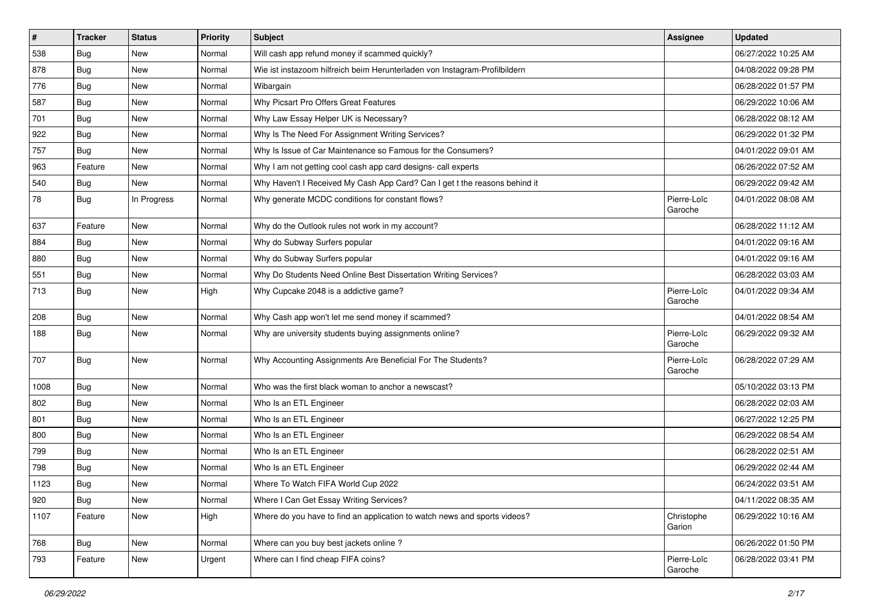| $\sharp$ | <b>Tracker</b> | <b>Status</b> | <b>Priority</b> | Subject                                                                    | <b>Assignee</b>        | <b>Updated</b>      |
|----------|----------------|---------------|-----------------|----------------------------------------------------------------------------|------------------------|---------------------|
| 538      | <b>Bug</b>     | New           | Normal          | Will cash app refund money if scammed quickly?                             |                        | 06/27/2022 10:25 AM |
| 878      | Bug            | New           | Normal          | Wie ist instazoom hilfreich beim Herunterladen von Instagram-Profilbildern |                        | 04/08/2022 09:28 PM |
| 776      | Bug            | New           | Normal          | Wibargain                                                                  |                        | 06/28/2022 01:57 PM |
| 587      | Bug            | New           | Normal          | Why Picsart Pro Offers Great Features                                      |                        | 06/29/2022 10:06 AM |
| 701      | Bug            | New           | Normal          | Why Law Essay Helper UK is Necessary?                                      |                        | 06/28/2022 08:12 AM |
| 922      | Bug            | New           | Normal          | Why Is The Need For Assignment Writing Services?                           |                        | 06/29/2022 01:32 PM |
| 757      | Bug            | New           | Normal          | Why Is Issue of Car Maintenance so Famous for the Consumers?               |                        | 04/01/2022 09:01 AM |
| 963      | Feature        | New           | Normal          | Why I am not getting cool cash app card designs- call experts              |                        | 06/26/2022 07:52 AM |
| 540      | Bug            | <b>New</b>    | Normal          | Why Haven't I Received My Cash App Card? Can I get t the reasons behind it |                        | 06/29/2022 09:42 AM |
| 78       | Bug            | In Progress   | Normal          | Why generate MCDC conditions for constant flows?                           | Pierre-Loïc<br>Garoche | 04/01/2022 08:08 AM |
| 637      | Feature        | <b>New</b>    | Normal          | Why do the Outlook rules not work in my account?                           |                        | 06/28/2022 11:12 AM |
| 884      | Bug            | New           | Normal          | Why do Subway Surfers popular                                              |                        | 04/01/2022 09:16 AM |
| 880      | Bug            | New           | Normal          | Why do Subway Surfers popular                                              |                        | 04/01/2022 09:16 AM |
| 551      | Bug            | New           | Normal          | Why Do Students Need Online Best Dissertation Writing Services?            |                        | 06/28/2022 03:03 AM |
| 713      | Bug            | New           | High            | Why Cupcake 2048 is a addictive game?                                      | Pierre-Loïc<br>Garoche | 04/01/2022 09:34 AM |
| 208      | Bug            | New           | Normal          | Why Cash app won't let me send money if scammed?                           |                        | 04/01/2022 08:54 AM |
| 188      | Bug            | New           | Normal          | Why are university students buying assignments online?                     | Pierre-Loïc<br>Garoche | 06/29/2022 09:32 AM |
| 707      | Bug            | New           | Normal          | Why Accounting Assignments Are Beneficial For The Students?                | Pierre-Loïc<br>Garoche | 06/28/2022 07:29 AM |
| 1008     | Bug            | New           | Normal          | Who was the first black woman to anchor a newscast?                        |                        | 05/10/2022 03:13 PM |
| 802      | Bug            | <b>New</b>    | Normal          | Who Is an ETL Engineer                                                     |                        | 06/28/2022 02:03 AM |
| 801      | Bug            | New           | Normal          | Who Is an ETL Engineer                                                     |                        | 06/27/2022 12:25 PM |
| 800      | Bug            | <b>New</b>    | Normal          | Who Is an ETL Engineer                                                     |                        | 06/29/2022 08:54 AM |
| 799      | Bug            | New           | Normal          | Who Is an ETL Engineer                                                     |                        | 06/28/2022 02:51 AM |
| 798      | Bug            | New           | Normal          | Who Is an ETL Engineer                                                     |                        | 06/29/2022 02:44 AM |
| 1123     | Bug            | New           | Normal          | Where To Watch FIFA World Cup 2022                                         |                        | 06/24/2022 03:51 AM |
| 920      | Bug            | New           | Normal          | Where I Can Get Essay Writing Services?                                    |                        | 04/11/2022 08:35 AM |
| 1107     | Feature        | New           | High            | Where do you have to find an application to watch news and sports videos?  | Christophe<br>Garion   | 06/29/2022 10:16 AM |
| 768      | Bug            | New           | Normal          | Where can you buy best jackets online?                                     |                        | 06/26/2022 01:50 PM |
| 793      | Feature        | New           | Urgent          | Where can I find cheap FIFA coins?                                         | Pierre-Loïc<br>Garoche | 06/28/2022 03:41 PM |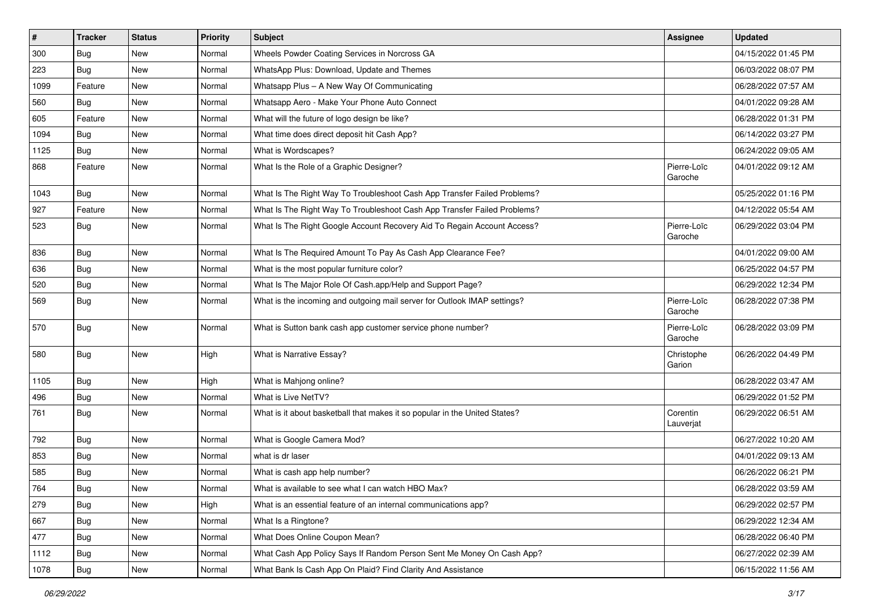| $\sharp$ | <b>Tracker</b> | <b>Status</b> | Priority | Subject                                                                    | Assignee               | <b>Updated</b>      |
|----------|----------------|---------------|----------|----------------------------------------------------------------------------|------------------------|---------------------|
| 300      | Bug            | New           | Normal   | Wheels Powder Coating Services in Norcross GA                              |                        | 04/15/2022 01:45 PM |
| 223      | Bug            | <b>New</b>    | Normal   | WhatsApp Plus: Download, Update and Themes                                 |                        | 06/03/2022 08:07 PM |
| 1099     | Feature        | New           | Normal   | Whatsapp Plus - A New Way Of Communicating                                 |                        | 06/28/2022 07:57 AM |
| 560      | Bug            | New           | Normal   | Whatsapp Aero - Make Your Phone Auto Connect                               |                        | 04/01/2022 09:28 AM |
| 605      | Feature        | New           | Normal   | What will the future of logo design be like?                               |                        | 06/28/2022 01:31 PM |
| 1094     | Bug            | New           | Normal   | What time does direct deposit hit Cash App?                                |                        | 06/14/2022 03:27 PM |
| 1125     | Bug            | New           | Normal   | What is Wordscapes?                                                        |                        | 06/24/2022 09:05 AM |
| 868      | Feature        | New           | Normal   | What Is the Role of a Graphic Designer?                                    | Pierre-Loïc<br>Garoche | 04/01/2022 09:12 AM |
| 1043     | Bug            | New           | Normal   | What Is The Right Way To Troubleshoot Cash App Transfer Failed Problems?   |                        | 05/25/2022 01:16 PM |
| 927      | Feature        | New           | Normal   | What Is The Right Way To Troubleshoot Cash App Transfer Failed Problems?   |                        | 04/12/2022 05:54 AM |
| 523      | Bug            | New           | Normal   | What Is The Right Google Account Recovery Aid To Regain Account Access?    | Pierre-Loïc<br>Garoche | 06/29/2022 03:04 PM |
| 836      | Bug            | New           | Normal   | What Is The Required Amount To Pay As Cash App Clearance Fee?              |                        | 04/01/2022 09:00 AM |
| 636      | Bug            | New           | Normal   | What is the most popular furniture color?                                  |                        | 06/25/2022 04:57 PM |
| 520      | Bug            | New           | Normal   | What Is The Major Role Of Cash.app/Help and Support Page?                  |                        | 06/29/2022 12:34 PM |
| 569      | Bug            | New           | Normal   | What is the incoming and outgoing mail server for Outlook IMAP settings?   | Pierre-Loïc<br>Garoche | 06/28/2022 07:38 PM |
| 570      | Bug            | New           | Normal   | What is Sutton bank cash app customer service phone number?                | Pierre-Loïc<br>Garoche | 06/28/2022 03:09 PM |
| 580      | Bug            | New           | High     | What is Narrative Essay?                                                   | Christophe<br>Garion   | 06/26/2022 04:49 PM |
| 1105     | Bug            | New           | High     | What is Mahjong online?                                                    |                        | 06/28/2022 03:47 AM |
| 496      | Bug            | New           | Normal   | What is Live NetTV?                                                        |                        | 06/29/2022 01:52 PM |
| 761      | Bug            | New           | Normal   | What is it about basketball that makes it so popular in the United States? | Corentin<br>Lauverjat  | 06/29/2022 06:51 AM |
| 792      | Bug            | New           | Normal   | What is Google Camera Mod?                                                 |                        | 06/27/2022 10:20 AM |
| 853      | Bug            | New           | Normal   | what is dr laser                                                           |                        | 04/01/2022 09:13 AM |
| 585      | Bug            | New           | Normal   | What is cash app help number?                                              |                        | 06/26/2022 06:21 PM |
| 764      | <b>Bug</b>     | New           | Normal   | What is available to see what I can watch HBO Max?                         |                        | 06/28/2022 03:59 AM |
| 279      | Bug            | New           | High     | What is an essential feature of an internal communications app?            |                        | 06/29/2022 02:57 PM |
| 667      | Bug            | New           | Normal   | What Is a Ringtone?                                                        |                        | 06/29/2022 12:34 AM |
| 477      | Bug            | New           | Normal   | What Does Online Coupon Mean?                                              |                        | 06/28/2022 06:40 PM |
| 1112     | Bug            | New           | Normal   | What Cash App Policy Says If Random Person Sent Me Money On Cash App?      |                        | 06/27/2022 02:39 AM |
| 1078     | Bug            | New           | Normal   | What Bank Is Cash App On Plaid? Find Clarity And Assistance                |                        | 06/15/2022 11:56 AM |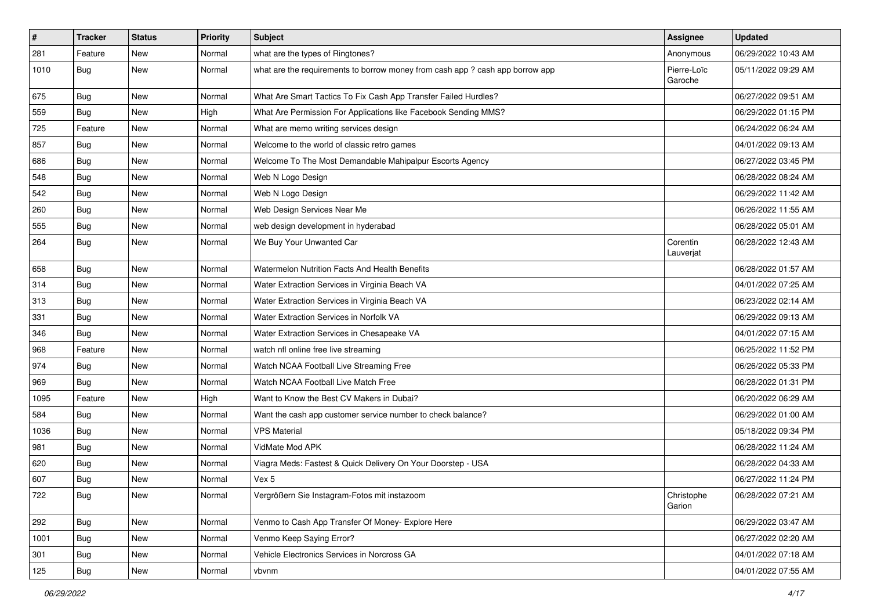| #    | <b>Tracker</b> | <b>Status</b> | <b>Priority</b> | Subject                                                                       | Assignee               | <b>Updated</b>      |
|------|----------------|---------------|-----------------|-------------------------------------------------------------------------------|------------------------|---------------------|
| 281  | Feature        | <b>New</b>    | Normal          | what are the types of Ringtones?                                              | Anonymous              | 06/29/2022 10:43 AM |
| 1010 | Bug            | New           | Normal          | what are the requirements to borrow money from cash app ? cash app borrow app | Pierre-Loïc<br>Garoche | 05/11/2022 09:29 AM |
| 675  | Bug            | New           | Normal          | What Are Smart Tactics To Fix Cash App Transfer Failed Hurdles?               |                        | 06/27/2022 09:51 AM |
| 559  | Bug            | <b>New</b>    | High            | What Are Permission For Applications like Facebook Sending MMS?               |                        | 06/29/2022 01:15 PM |
| 725  | Feature        | New           | Normal          | What are memo writing services design                                         |                        | 06/24/2022 06:24 AM |
| 857  | Bug            | New           | Normal          | Welcome to the world of classic retro games                                   |                        | 04/01/2022 09:13 AM |
| 686  | Bug            | New           | Normal          | Welcome To The Most Demandable Mahipalpur Escorts Agency                      |                        | 06/27/2022 03:45 PM |
| 548  | Bug            | New           | Normal          | Web N Logo Design                                                             |                        | 06/28/2022 08:24 AM |
| 542  | Bug            | New           | Normal          | Web N Logo Design                                                             |                        | 06/29/2022 11:42 AM |
| 260  | Bug            | New           | Normal          | Web Design Services Near Me                                                   |                        | 06/26/2022 11:55 AM |
| 555  | Bug            | New           | Normal          | web design development in hyderabad                                           |                        | 06/28/2022 05:01 AM |
| 264  | Bug            | <b>New</b>    | Normal          | We Buy Your Unwanted Car                                                      | Corentin<br>Lauverjat  | 06/28/2022 12:43 AM |
| 658  | Bug            | New           | Normal          | Watermelon Nutrition Facts And Health Benefits                                |                        | 06/28/2022 01:57 AM |
| 314  | Bug            | New           | Normal          | Water Extraction Services in Virginia Beach VA                                |                        | 04/01/2022 07:25 AM |
| 313  | Bug            | New           | Normal          | Water Extraction Services in Virginia Beach VA                                |                        | 06/23/2022 02:14 AM |
| 331  | Bug            | <b>New</b>    | Normal          | Water Extraction Services in Norfolk VA                                       |                        | 06/29/2022 09:13 AM |
| 346  | Bug            | New           | Normal          | Water Extraction Services in Chesapeake VA                                    |                        | 04/01/2022 07:15 AM |
| 968  | Feature        | New           | Normal          | watch nfl online free live streaming                                          |                        | 06/25/2022 11:52 PM |
| 974  | Bug            | <b>New</b>    | Normal          | Watch NCAA Football Live Streaming Free                                       |                        | 06/26/2022 05:33 PM |
| 969  | Bug            | New           | Normal          | Watch NCAA Football Live Match Free                                           |                        | 06/28/2022 01:31 PM |
| 1095 | Feature        | <b>New</b>    | High            | Want to Know the Best CV Makers in Dubai?                                     |                        | 06/20/2022 06:29 AM |
| 584  | Bug            | New           | Normal          | Want the cash app customer service number to check balance?                   |                        | 06/29/2022 01:00 AM |
| 1036 | Bug            | New           | Normal          | <b>VPS Material</b>                                                           |                        | 05/18/2022 09:34 PM |
| 981  | Bug            | New           | Normal          | VidMate Mod APK                                                               |                        | 06/28/2022 11:24 AM |
| 620  | Bug            | New           | Normal          | Viagra Meds: Fastest & Quick Delivery On Your Doorstep - USA                  |                        | 06/28/2022 04:33 AM |
| 607  | Bug            | New           | Normal          | Vex 5                                                                         |                        | 06/27/2022 11:24 PM |
| 722  | Bug            | New           | Normal          | Vergrößern Sie Instagram-Fotos mit instazoom                                  | Christophe<br>Garion   | 06/28/2022 07:21 AM |
| 292  | Bug            | New           | Normal          | Venmo to Cash App Transfer Of Money- Explore Here                             |                        | 06/29/2022 03:47 AM |
| 1001 | Bug            | New           | Normal          | Venmo Keep Saying Error?                                                      |                        | 06/27/2022 02:20 AM |
| 301  | <b>Bug</b>     | New           | Normal          | Vehicle Electronics Services in Norcross GA                                   |                        | 04/01/2022 07:18 AM |
| 125  | Bug            | New           | Normal          | vbvnm                                                                         |                        | 04/01/2022 07:55 AM |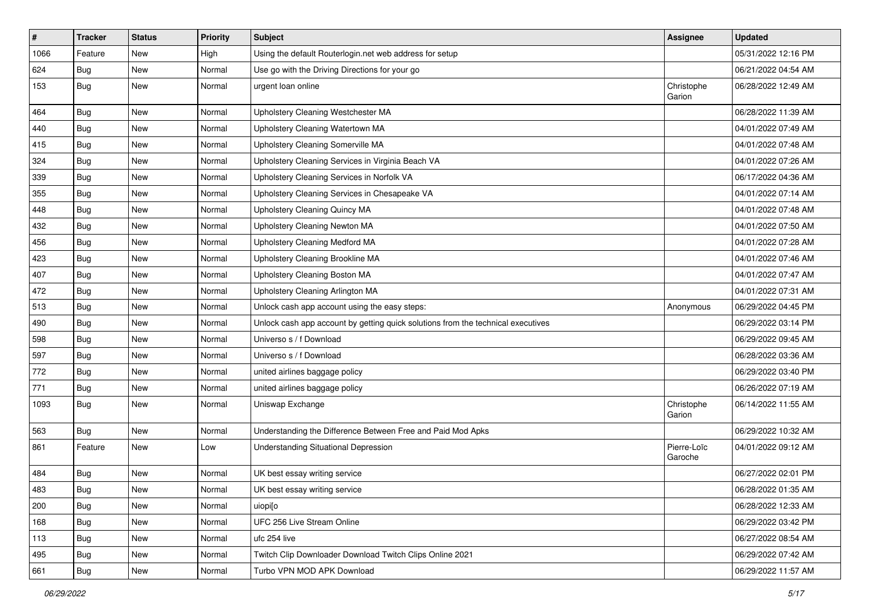| $\vert$ # | <b>Tracker</b> | <b>Status</b> | <b>Priority</b> | <b>Subject</b>                                                                   | <b>Assignee</b>        | <b>Updated</b>      |
|-----------|----------------|---------------|-----------------|----------------------------------------------------------------------------------|------------------------|---------------------|
| 1066      | Feature        | New           | High            | Using the default Routerlogin.net web address for setup                          |                        | 05/31/2022 12:16 PM |
| 624       | Bug            | New           | Normal          | Use go with the Driving Directions for your go                                   |                        | 06/21/2022 04:54 AM |
| 153       | Bug            | New           | Normal          | urgent loan online                                                               | Christophe<br>Garion   | 06/28/2022 12:49 AM |
| 464       | Bug            | New           | Normal          | Upholstery Cleaning Westchester MA                                               |                        | 06/28/2022 11:39 AM |
| 440       | <b>Bug</b>     | New           | Normal          | Upholstery Cleaning Watertown MA                                                 |                        | 04/01/2022 07:49 AM |
| 415       | <b>Bug</b>     | New           | Normal          | Upholstery Cleaning Somerville MA                                                |                        | 04/01/2022 07:48 AM |
| 324       | <b>Bug</b>     | New           | Normal          | Upholstery Cleaning Services in Virginia Beach VA                                |                        | 04/01/2022 07:26 AM |
| 339       | <b>Bug</b>     | New           | Normal          | Upholstery Cleaning Services in Norfolk VA                                       |                        | 06/17/2022 04:36 AM |
| 355       | Bug            | New           | Normal          | Upholstery Cleaning Services in Chesapeake VA                                    |                        | 04/01/2022 07:14 AM |
| 448       | <b>Bug</b>     | New           | Normal          | Upholstery Cleaning Quincy MA                                                    |                        | 04/01/2022 07:48 AM |
| 432       | Bug            | New           | Normal          | Upholstery Cleaning Newton MA                                                    |                        | 04/01/2022 07:50 AM |
| 456       | Bug            | New           | Normal          | <b>Upholstery Cleaning Medford MA</b>                                            |                        | 04/01/2022 07:28 AM |
| 423       | <b>Bug</b>     | New           | Normal          | Upholstery Cleaning Brookline MA                                                 |                        | 04/01/2022 07:46 AM |
| 407       | Bug            | New           | Normal          | Upholstery Cleaning Boston MA                                                    |                        | 04/01/2022 07:47 AM |
| 472       | <b>Bug</b>     | New           | Normal          | Upholstery Cleaning Arlington MA                                                 |                        | 04/01/2022 07:31 AM |
| 513       | <b>Bug</b>     | New           | Normal          | Unlock cash app account using the easy steps:                                    | Anonymous              | 06/29/2022 04:45 PM |
| 490       | Bug            | New           | Normal          | Unlock cash app account by getting quick solutions from the technical executives |                        | 06/29/2022 03:14 PM |
| 598       | <b>Bug</b>     | New           | Normal          | Universo s / f Download                                                          |                        | 06/29/2022 09:45 AM |
| 597       | Bug            | New           | Normal          | Universo s / f Download                                                          |                        | 06/28/2022 03:36 AM |
| 772       | Bug            | New           | Normal          | united airlines baggage policy                                                   |                        | 06/29/2022 03:40 PM |
| 771       | Bug            | New           | Normal          | united airlines baggage policy                                                   |                        | 06/26/2022 07:19 AM |
| 1093      | Bug            | New           | Normal          | Uniswap Exchange                                                                 | Christophe<br>Garion   | 06/14/2022 11:55 AM |
| 563       | Bug            | New           | Normal          | Understanding the Difference Between Free and Paid Mod Apks                      |                        | 06/29/2022 10:32 AM |
| 861       | Feature        | New           | Low             | Understanding Situational Depression                                             | Pierre-Loïc<br>Garoche | 04/01/2022 09:12 AM |
| 484       | <b>Bug</b>     | New           | Normal          | UK best essay writing service                                                    |                        | 06/27/2022 02:01 PM |
| 483       | Bug            | New           | Normal          | UK best essay writing service                                                    |                        | 06/28/2022 01:35 AM |
| 200       | Bug            | New           | Normal          | uiopi[o                                                                          |                        | 06/28/2022 12:33 AM |
| 168       | Bug            | New           | Normal          | UFC 256 Live Stream Online                                                       |                        | 06/29/2022 03:42 PM |
| 113       | <b>Bug</b>     | New           | Normal          | ufc 254 live                                                                     |                        | 06/27/2022 08:54 AM |
| 495       | <b>Bug</b>     | New           | Normal          | Twitch Clip Downloader Download Twitch Clips Online 2021                         |                        | 06/29/2022 07:42 AM |
| 661       | <b>Bug</b>     | New           | Normal          | Turbo VPN MOD APK Download                                                       |                        | 06/29/2022 11:57 AM |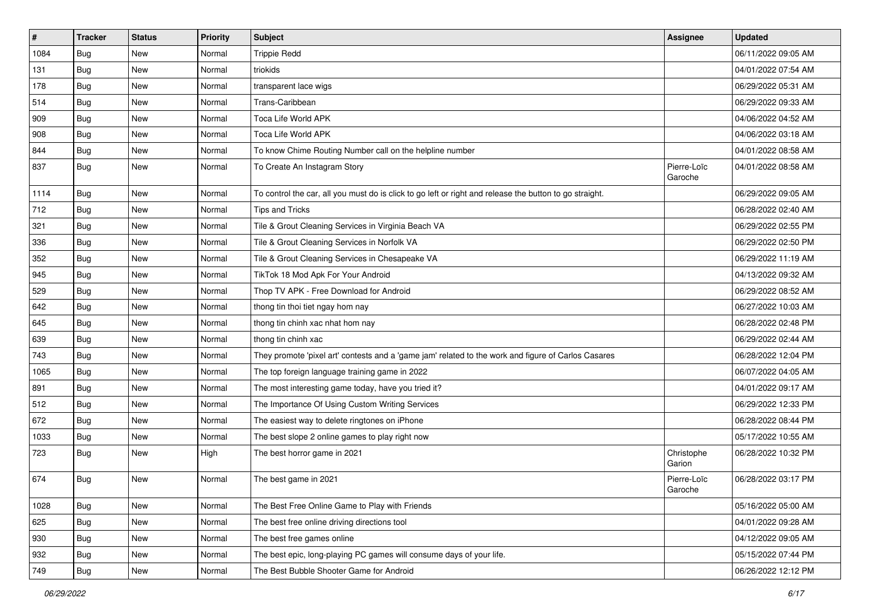| $\sharp$ | <b>Tracker</b> | <b>Status</b> | <b>Priority</b> | <b>Subject</b>                                                                                          | Assignee               | <b>Updated</b>      |
|----------|----------------|---------------|-----------------|---------------------------------------------------------------------------------------------------------|------------------------|---------------------|
| 1084     | <b>Bug</b>     | New           | Normal          | <b>Trippie Redd</b>                                                                                     |                        | 06/11/2022 09:05 AM |
| 131      | Bug            | New           | Normal          | triokids                                                                                                |                        | 04/01/2022 07:54 AM |
| 178      | Bug            | New           | Normal          | transparent lace wigs                                                                                   |                        | 06/29/2022 05:31 AM |
| 514      | <b>Bug</b>     | New           | Normal          | Trans-Caribbean                                                                                         |                        | 06/29/2022 09:33 AM |
| 909      | Bug            | New           | Normal          | Toca Life World APK                                                                                     |                        | 04/06/2022 04:52 AM |
| 908      | Bug            | New           | Normal          | Toca Life World APK                                                                                     |                        | 04/06/2022 03:18 AM |
| 844      | Bug            | New           | Normal          | To know Chime Routing Number call on the helpline number                                                |                        | 04/01/2022 08:58 AM |
| 837      | Bug            | New           | Normal          | To Create An Instagram Story                                                                            | Pierre-Loïc<br>Garoche | 04/01/2022 08:58 AM |
| 1114     | <b>Bug</b>     | <b>New</b>    | Normal          | To control the car, all you must do is click to go left or right and release the button to go straight. |                        | 06/29/2022 09:05 AM |
| 712      | Bug            | New           | Normal          | <b>Tips and Tricks</b>                                                                                  |                        | 06/28/2022 02:40 AM |
| 321      | <b>Bug</b>     | New           | Normal          | Tile & Grout Cleaning Services in Virginia Beach VA                                                     |                        | 06/29/2022 02:55 PM |
| 336      | Bug            | New           | Normal          | Tile & Grout Cleaning Services in Norfolk VA                                                            |                        | 06/29/2022 02:50 PM |
| 352      | <b>Bug</b>     | New           | Normal          | Tile & Grout Cleaning Services in Chesapeake VA                                                         |                        | 06/29/2022 11:19 AM |
| 945      | Bug            | New           | Normal          | TikTok 18 Mod Apk For Your Android                                                                      |                        | 04/13/2022 09:32 AM |
| 529      | Bug            | New           | Normal          | Thop TV APK - Free Download for Android                                                                 |                        | 06/29/2022 08:52 AM |
| 642      | <b>Bug</b>     | New           | Normal          | thong tin thoi tiet ngay hom nay                                                                        |                        | 06/27/2022 10:03 AM |
| 645      | Bug            | New           | Normal          | thong tin chinh xac nhat hom nay                                                                        |                        | 06/28/2022 02:48 PM |
| 639      | Bug            | New           | Normal          | thong tin chinh xac                                                                                     |                        | 06/29/2022 02:44 AM |
| 743      | Bug            | New           | Normal          | They promote 'pixel art' contests and a 'game jam' related to the work and figure of Carlos Casares     |                        | 06/28/2022 12:04 PM |
| 1065     | Bug            | New           | Normal          | The top foreign language training game in 2022                                                          |                        | 06/07/2022 04:05 AM |
| 891      | Bug            | New           | Normal          | The most interesting game today, have you tried it?                                                     |                        | 04/01/2022 09:17 AM |
| 512      | Bug            | New           | Normal          | The Importance Of Using Custom Writing Services                                                         |                        | 06/29/2022 12:33 PM |
| 672      | Bug            | New           | Normal          | The easiest way to delete ringtones on iPhone                                                           |                        | 06/28/2022 08:44 PM |
| 1033     | <b>Bug</b>     | New           | Normal          | The best slope 2 online games to play right now                                                         |                        | 05/17/2022 10:55 AM |
| 723      | Bug            | New           | High            | The best horror game in 2021                                                                            | Christophe<br>Garion   | 06/28/2022 10:32 PM |
| 674      | Bug            | New           | Normal          | The best game in 2021                                                                                   | Pierre-Loïc<br>Garoche | 06/28/2022 03:17 PM |
| 1028     | Bug            | New           | Normal          | The Best Free Online Game to Play with Friends                                                          |                        | 05/16/2022 05:00 AM |
| 625      | Bug            | New           | Normal          | The best free online driving directions tool                                                            |                        | 04/01/2022 09:28 AM |
| 930      | Bug            | New           | Normal          | The best free games online                                                                              |                        | 04/12/2022 09:05 AM |
| 932      | Bug            | New           | Normal          | The best epic, long-playing PC games will consume days of your life.                                    |                        | 05/15/2022 07:44 PM |
| 749      | <b>Bug</b>     | New           | Normal          | The Best Bubble Shooter Game for Android                                                                |                        | 06/26/2022 12:12 PM |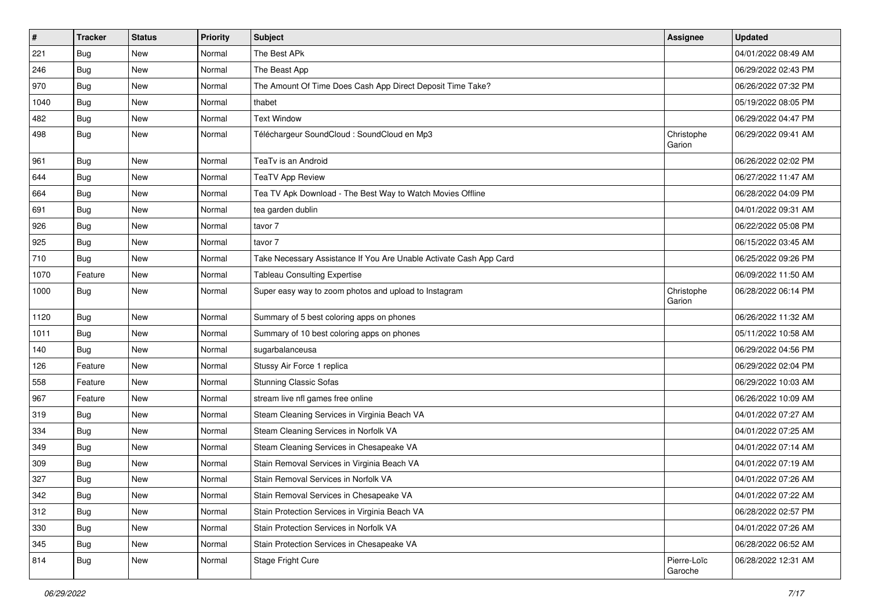| $\sharp$ | <b>Tracker</b> | <b>Status</b> | Priority | Subject                                                            | Assignee               | <b>Updated</b>      |
|----------|----------------|---------------|----------|--------------------------------------------------------------------|------------------------|---------------------|
| 221      | Bug            | New           | Normal   | The Best APk                                                       |                        | 04/01/2022 08:49 AM |
| 246      | Bug            | New           | Normal   | The Beast App                                                      |                        | 06/29/2022 02:43 PM |
| 970      | Bug            | New           | Normal   | The Amount Of Time Does Cash App Direct Deposit Time Take?         |                        | 06/26/2022 07:32 PM |
| 1040     | Bug            | New           | Normal   | thabet                                                             |                        | 05/19/2022 08:05 PM |
| 482      | Bug            | New           | Normal   | <b>Text Window</b>                                                 |                        | 06/29/2022 04:47 PM |
| 498      | Bug            | New           | Normal   | Téléchargeur SoundCloud : SoundCloud en Mp3                        | Christophe<br>Garion   | 06/29/2022 09:41 AM |
| 961      | Bug            | <b>New</b>    | Normal   | TeaTv is an Android                                                |                        | 06/26/2022 02:02 PM |
| 644      | Bug            | New           | Normal   | <b>TeaTV App Review</b>                                            |                        | 06/27/2022 11:47 AM |
| 664      | Bug            | <b>New</b>    | Normal   | Tea TV Apk Download - The Best Way to Watch Movies Offline         |                        | 06/28/2022 04:09 PM |
| 691      | Bug            | New           | Normal   | tea garden dublin                                                  |                        | 04/01/2022 09:31 AM |
| 926      | Bug            | <b>New</b>    | Normal   | tavor 7                                                            |                        | 06/22/2022 05:08 PM |
| 925      | Bug            | New           | Normal   | tavor 7                                                            |                        | 06/15/2022 03:45 AM |
| 710      | Bug            | New           | Normal   | Take Necessary Assistance If You Are Unable Activate Cash App Card |                        | 06/25/2022 09:26 PM |
| 1070     | Feature        | New           | Normal   | <b>Tableau Consulting Expertise</b>                                |                        | 06/09/2022 11:50 AM |
| 1000     | Bug            | New           | Normal   | Super easy way to zoom photos and upload to Instagram              | Christophe<br>Garion   | 06/28/2022 06:14 PM |
| 1120     | Bug            | New           | Normal   | Summary of 5 best coloring apps on phones                          |                        | 06/26/2022 11:32 AM |
| 1011     | Bug            | New           | Normal   | Summary of 10 best coloring apps on phones                         |                        | 05/11/2022 10:58 AM |
| 140      | Bug            | New           | Normal   | sugarbalanceusa                                                    |                        | 06/29/2022 04:56 PM |
| 126      | Feature        | New           | Normal   | Stussy Air Force 1 replica                                         |                        | 06/29/2022 02:04 PM |
| 558      | Feature        | New           | Normal   | <b>Stunning Classic Sofas</b>                                      |                        | 06/29/2022 10:03 AM |
| 967      | Feature        | <b>New</b>    | Normal   | stream live nfl games free online                                  |                        | 06/26/2022 10:09 AM |
| 319      | Bug            | New           | Normal   | Steam Cleaning Services in Virginia Beach VA                       |                        | 04/01/2022 07:27 AM |
| 334      | Bug            | New           | Normal   | Steam Cleaning Services in Norfolk VA                              |                        | 04/01/2022 07:25 AM |
| 349      | Bug            | New           | Normal   | Steam Cleaning Services in Chesapeake VA                           |                        | 04/01/2022 07:14 AM |
| 309      | Bug            | New           | Normal   | Stain Removal Services in Virginia Beach VA                        |                        | 04/01/2022 07:19 AM |
| 327      | Bug            | New           | Normal   | Stain Removal Services in Norfolk VA                               |                        | 04/01/2022 07:26 AM |
| 342      | Bug            | New           | Normal   | Stain Removal Services in Chesapeake VA                            |                        | 04/01/2022 07:22 AM |
| 312      | Bug            | New           | Normal   | Stain Protection Services in Virginia Beach VA                     |                        | 06/28/2022 02:57 PM |
| 330      | Bug            | New           | Normal   | Stain Protection Services in Norfolk VA                            |                        | 04/01/2022 07:26 AM |
| 345      | Bug            | New           | Normal   | Stain Protection Services in Chesapeake VA                         |                        | 06/28/2022 06:52 AM |
| 814      | <b>Bug</b>     | New           | Normal   | Stage Fright Cure                                                  | Pierre-Loïc<br>Garoche | 06/28/2022 12:31 AM |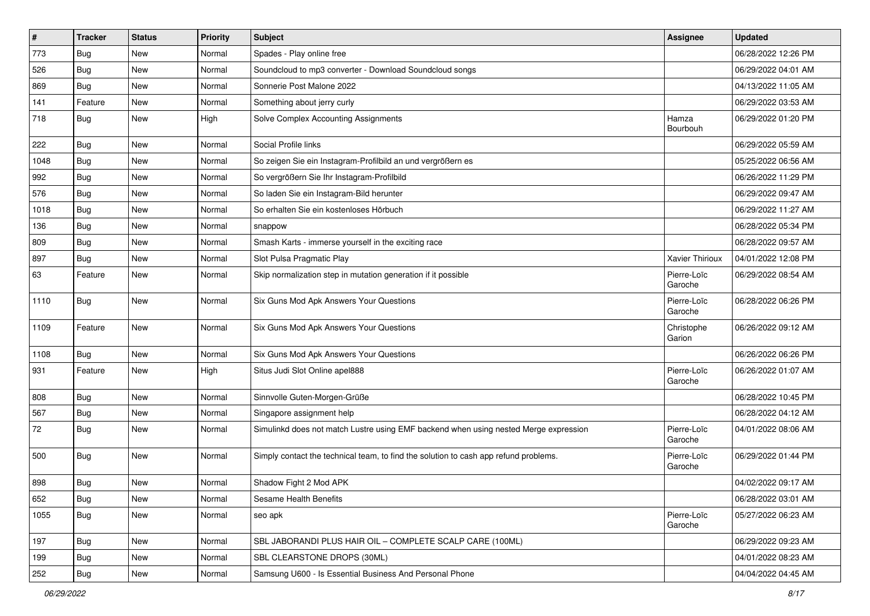| $\pmb{\#}$ | <b>Tracker</b> | <b>Status</b> | <b>Priority</b> | Subject                                                                              | Assignee               | <b>Updated</b>      |
|------------|----------------|---------------|-----------------|--------------------------------------------------------------------------------------|------------------------|---------------------|
| 773        | <b>Bug</b>     | New           | Normal          | Spades - Play online free                                                            |                        | 06/28/2022 12:26 PM |
| 526        | Bug            | New           | Normal          | Soundcloud to mp3 converter - Download Soundcloud songs                              |                        | 06/29/2022 04:01 AM |
| 869        | Bug            | New           | Normal          | Sonnerie Post Malone 2022                                                            |                        | 04/13/2022 11:05 AM |
| 141        | Feature        | New           | Normal          | Something about jerry curly                                                          |                        | 06/29/2022 03:53 AM |
| 718        | Bug            | New           | High            | Solve Complex Accounting Assignments                                                 | Hamza<br>Bourbouh      | 06/29/2022 01:20 PM |
| 222        | Bug            | New           | Normal          | Social Profile links                                                                 |                        | 06/29/2022 05:59 AM |
| 1048       | Bug            | New           | Normal          | So zeigen Sie ein Instagram-Profilbild an und vergrößern es                          |                        | 05/25/2022 06:56 AM |
| 992        | Bug            | New           | Normal          | So vergrößern Sie Ihr Instagram-Profilbild                                           |                        | 06/26/2022 11:29 PM |
| 576        | Bug            | New           | Normal          | So laden Sie ein Instagram-Bild herunter                                             |                        | 06/29/2022 09:47 AM |
| 1018       | Bug            | New           | Normal          | So erhalten Sie ein kostenloses Hörbuch                                              |                        | 06/29/2022 11:27 AM |
| 136        | Bug            | New           | Normal          | snappow                                                                              |                        | 06/28/2022 05:34 PM |
| 809        | Bug            | New           | Normal          | Smash Karts - immerse yourself in the exciting race                                  |                        | 06/28/2022 09:57 AM |
| 897        | <b>Bug</b>     | New           | Normal          | Slot Pulsa Pragmatic Play                                                            | Xavier Thirioux        | 04/01/2022 12:08 PM |
| 63         | Feature        | New           | Normal          | Skip normalization step in mutation generation if it possible                        | Pierre-Loïc<br>Garoche | 06/29/2022 08:54 AM |
| 1110       | Bug            | New           | Normal          | Six Guns Mod Apk Answers Your Questions                                              | Pierre-Loïc<br>Garoche | 06/28/2022 06:26 PM |
| 1109       | Feature        | New           | Normal          | Six Guns Mod Apk Answers Your Questions                                              | Christophe<br>Garion   | 06/26/2022 09:12 AM |
| 1108       | Bug            | New           | Normal          | Six Guns Mod Apk Answers Your Questions                                              |                        | 06/26/2022 06:26 PM |
| 931        | Feature        | New           | High            | Situs Judi Slot Online apel888                                                       | Pierre-Loïc<br>Garoche | 06/26/2022 01:07 AM |
| 808        | Bug            | New           | Normal          | Sinnvolle Guten-Morgen-Grüße                                                         |                        | 06/28/2022 10:45 PM |
| 567        | Bug            | New           | Normal          | Singapore assignment help                                                            |                        | 06/28/2022 04:12 AM |
| 72         | Bug            | New           | Normal          | Simulinkd does not match Lustre using EMF backend when using nested Merge expression | Pierre-Loïc<br>Garoche | 04/01/2022 08:06 AM |
| 500        | Bug            | New           | Normal          | Simply contact the technical team, to find the solution to cash app refund problems. | Pierre-Loïc<br>Garoche | 06/29/2022 01:44 PM |
| 898        | Bug            | New           | Normal          | Shadow Fight 2 Mod APK                                                               |                        | 04/02/2022 09:17 AM |
| 652        | Bug            | New           | Normal          | Sesame Health Benefits                                                               |                        | 06/28/2022 03:01 AM |
| 1055       | Bug            | New           | Normal          | seo apk                                                                              | Pierre-Loïc<br>Garoche | 05/27/2022 06:23 AM |
| 197        | Bug            | New           | Normal          | SBL JABORANDI PLUS HAIR OIL - COMPLETE SCALP CARE (100ML)                            |                        | 06/29/2022 09:23 AM |
| 199        | Bug            | New           | Normal          | SBL CLEARSTONE DROPS (30ML)                                                          |                        | 04/01/2022 08:23 AM |
| 252        | Bug            | New           | Normal          | Samsung U600 - Is Essential Business And Personal Phone                              |                        | 04/04/2022 04:45 AM |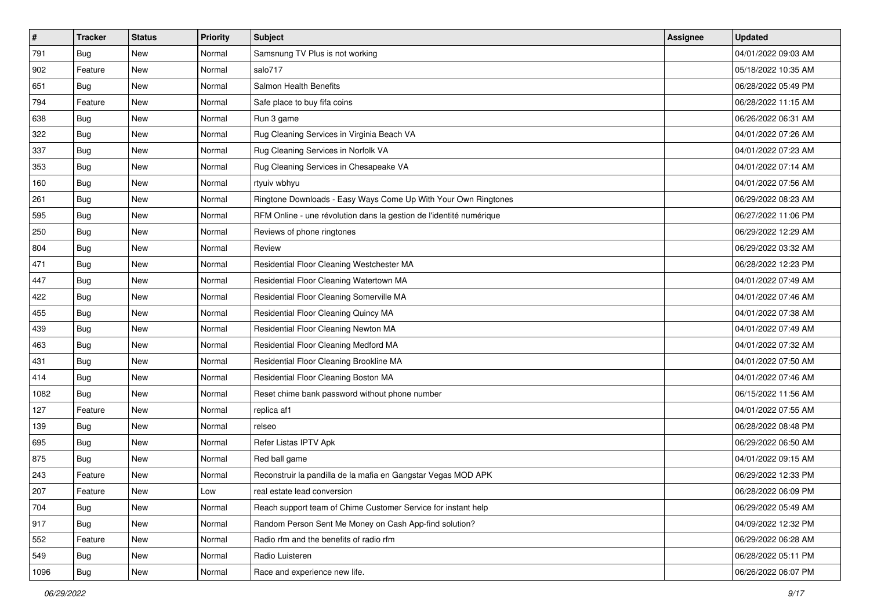| $\sharp$ | <b>Tracker</b> | <b>Status</b> | <b>Priority</b> | <b>Subject</b>                                                      | <b>Assignee</b> | <b>Updated</b>      |
|----------|----------------|---------------|-----------------|---------------------------------------------------------------------|-----------------|---------------------|
| 791      | Bug            | New           | Normal          | Samsnung TV Plus is not working                                     |                 | 04/01/2022 09:03 AM |
| 902      | Feature        | New           | Normal          | salo717                                                             |                 | 05/18/2022 10:35 AM |
| 651      | <b>Bug</b>     | New           | Normal          | Salmon Health Benefits                                              |                 | 06/28/2022 05:49 PM |
| 794      | Feature        | New           | Normal          | Safe place to buy fifa coins                                        |                 | 06/28/2022 11:15 AM |
| 638      | Bug            | New           | Normal          | Run 3 game                                                          |                 | 06/26/2022 06:31 AM |
| 322      | Bug            | New           | Normal          | Rug Cleaning Services in Virginia Beach VA                          |                 | 04/01/2022 07:26 AM |
| 337      | Bug            | New           | Normal          | Rug Cleaning Services in Norfolk VA                                 |                 | 04/01/2022 07:23 AM |
| 353      | Bug            | New           | Normal          | Rug Cleaning Services in Chesapeake VA                              |                 | 04/01/2022 07:14 AM |
| 160      | Bug            | New           | Normal          | rtyuiv wbhyu                                                        |                 | 04/01/2022 07:56 AM |
| 261      | Bug            | New           | Normal          | Ringtone Downloads - Easy Ways Come Up With Your Own Ringtones      |                 | 06/29/2022 08:23 AM |
| 595      | Bug            | New           | Normal          | RFM Online - une révolution dans la gestion de l'identité numérique |                 | 06/27/2022 11:06 PM |
| 250      | Bug            | New           | Normal          | Reviews of phone ringtones                                          |                 | 06/29/2022 12:29 AM |
| 804      | Bug            | New           | Normal          | Review                                                              |                 | 06/29/2022 03:32 AM |
| 471      | Bug            | New           | Normal          | Residential Floor Cleaning Westchester MA                           |                 | 06/28/2022 12:23 PM |
| 447      | Bug            | New           | Normal          | Residential Floor Cleaning Watertown MA                             |                 | 04/01/2022 07:49 AM |
| 422      | Bug            | New           | Normal          | Residential Floor Cleaning Somerville MA                            |                 | 04/01/2022 07:46 AM |
| 455      | Bug            | New           | Normal          | Residential Floor Cleaning Quincy MA                                |                 | 04/01/2022 07:38 AM |
| 439      | Bug            | New           | Normal          | Residential Floor Cleaning Newton MA                                |                 | 04/01/2022 07:49 AM |
| 463      | Bug            | New           | Normal          | Residential Floor Cleaning Medford MA                               |                 | 04/01/2022 07:32 AM |
| 431      | Bug            | New           | Normal          | Residential Floor Cleaning Brookline MA                             |                 | 04/01/2022 07:50 AM |
| 414      | Bug            | New           | Normal          | Residential Floor Cleaning Boston MA                                |                 | 04/01/2022 07:46 AM |
| 1082     | Bug            | New           | Normal          | Reset chime bank password without phone number                      |                 | 06/15/2022 11:56 AM |
| 127      | Feature        | New           | Normal          | replica af1                                                         |                 | 04/01/2022 07:55 AM |
| 139      | Bug            | New           | Normal          | relseo                                                              |                 | 06/28/2022 08:48 PM |
| 695      | Bug            | New           | Normal          | Refer Listas IPTV Apk                                               |                 | 06/29/2022 06:50 AM |
| 875      | Bug            | New           | Normal          | Red ball game                                                       |                 | 04/01/2022 09:15 AM |
| 243      | Feature        | New           | Normal          | Reconstruir la pandilla de la mafia en Gangstar Vegas MOD APK       |                 | 06/29/2022 12:33 PM |
| 207      | Feature        | New           | Low             | real estate lead conversion                                         |                 | 06/28/2022 06:09 PM |
| 704      | Bug            | New           | Normal          | Reach support team of Chime Customer Service for instant help       |                 | 06/29/2022 05:49 AM |
| 917      | Bug            | New           | Normal          | Random Person Sent Me Money on Cash App-find solution?              |                 | 04/09/2022 12:32 PM |
| 552      | Feature        | New           | Normal          | Radio rfm and the benefits of radio rfm                             |                 | 06/29/2022 06:28 AM |
| 549      | Bug            | New           | Normal          | Radio Luisteren                                                     |                 | 06/28/2022 05:11 PM |
| 1096     | <b>Bug</b>     | New           | Normal          | Race and experience new life.                                       |                 | 06/26/2022 06:07 PM |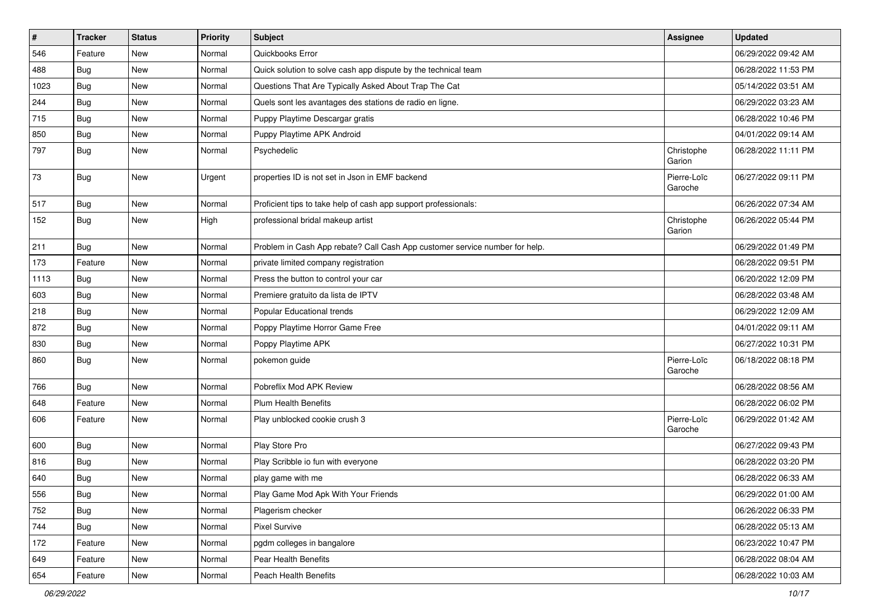| $\pmb{\#}$ | <b>Tracker</b> | <b>Status</b> | <b>Priority</b> | <b>Subject</b>                                                              | Assignee               | <b>Updated</b>      |
|------------|----------------|---------------|-----------------|-----------------------------------------------------------------------------|------------------------|---------------------|
| 546        | Feature        | New           | Normal          | Quickbooks Error                                                            |                        | 06/29/2022 09:42 AM |
| 488        | <b>Bug</b>     | New           | Normal          | Quick solution to solve cash app dispute by the technical team              |                        | 06/28/2022 11:53 PM |
| 1023       | Bug            | New           | Normal          | Questions That Are Typically Asked About Trap The Cat                       |                        | 05/14/2022 03:51 AM |
| 244        | Bug            | New           | Normal          | Quels sont les avantages des stations de radio en ligne.                    |                        | 06/29/2022 03:23 AM |
| 715        | Bug            | New           | Normal          | Puppy Playtime Descargar gratis                                             |                        | 06/28/2022 10:46 PM |
| 850        | Bug            | New           | Normal          | Puppy Playtime APK Android                                                  |                        | 04/01/2022 09:14 AM |
| 797        | Bug            | New           | Normal          | Psychedelic                                                                 | Christophe<br>Garion   | 06/28/2022 11:11 PM |
| 73         | Bug            | New           | Urgent          | properties ID is not set in Json in EMF backend                             | Pierre-Loïc<br>Garoche | 06/27/2022 09:11 PM |
| 517        | Bug            | New           | Normal          | Proficient tips to take help of cash app support professionals:             |                        | 06/26/2022 07:34 AM |
| 152        | Bug            | New           | High            | professional bridal makeup artist                                           | Christophe<br>Garion   | 06/26/2022 05:44 PM |
| 211        | Bug            | New           | Normal          | Problem in Cash App rebate? Call Cash App customer service number for help. |                        | 06/29/2022 01:49 PM |
| 173        | Feature        | New           | Normal          | private limited company registration                                        |                        | 06/28/2022 09:51 PM |
| 1113       | Bug            | New           | Normal          | Press the button to control your car                                        |                        | 06/20/2022 12:09 PM |
| 603        | <b>Bug</b>     | New           | Normal          | Premiere gratuito da lista de IPTV                                          |                        | 06/28/2022 03:48 AM |
| 218        | Bug            | New           | Normal          | Popular Educational trends                                                  |                        | 06/29/2022 12:09 AM |
| 872        | Bug            | New           | Normal          | Poppy Playtime Horror Game Free                                             |                        | 04/01/2022 09:11 AM |
| 830        | Bug            | New           | Normal          | Poppy Playtime APK                                                          |                        | 06/27/2022 10:31 PM |
| 860        | Bug            | New           | Normal          | pokemon guide                                                               | Pierre-Loïc<br>Garoche | 06/18/2022 08:18 PM |
| 766        | Bug            | <b>New</b>    | Normal          | Pobreflix Mod APK Review                                                    |                        | 06/28/2022 08:56 AM |
| 648        | Feature        | New           | Normal          | <b>Plum Health Benefits</b>                                                 |                        | 06/28/2022 06:02 PM |
| 606        | Feature        | New           | Normal          | Play unblocked cookie crush 3                                               | Pierre-Loïc<br>Garoche | 06/29/2022 01:42 AM |
| 600        | <b>Bug</b>     | New           | Normal          | Play Store Pro                                                              |                        | 06/27/2022 09:43 PM |
| 816        | Bug            | New           | Normal          | Play Scribble io fun with everyone                                          |                        | 06/28/2022 03:20 PM |
| 640        | Bug            | New           | Normal          | play game with me                                                           |                        | 06/28/2022 06:33 AM |
| 556        | Bug            | New           | Normal          | Play Game Mod Apk With Your Friends                                         |                        | 06/29/2022 01:00 AM |
| 752        | Bug            | New           | Normal          | Plagerism checker                                                           |                        | 06/26/2022 06:33 PM |
| 744        | Bug            | New           | Normal          | <b>Pixel Survive</b>                                                        |                        | 06/28/2022 05:13 AM |
| 172        | Feature        | New           | Normal          | pgdm colleges in bangalore                                                  |                        | 06/23/2022 10:47 PM |
| 649        | Feature        | New           | Normal          | Pear Health Benefits                                                        |                        | 06/28/2022 08:04 AM |
| 654        | Feature        | New           | Normal          | Peach Health Benefits                                                       |                        | 06/28/2022 10:03 AM |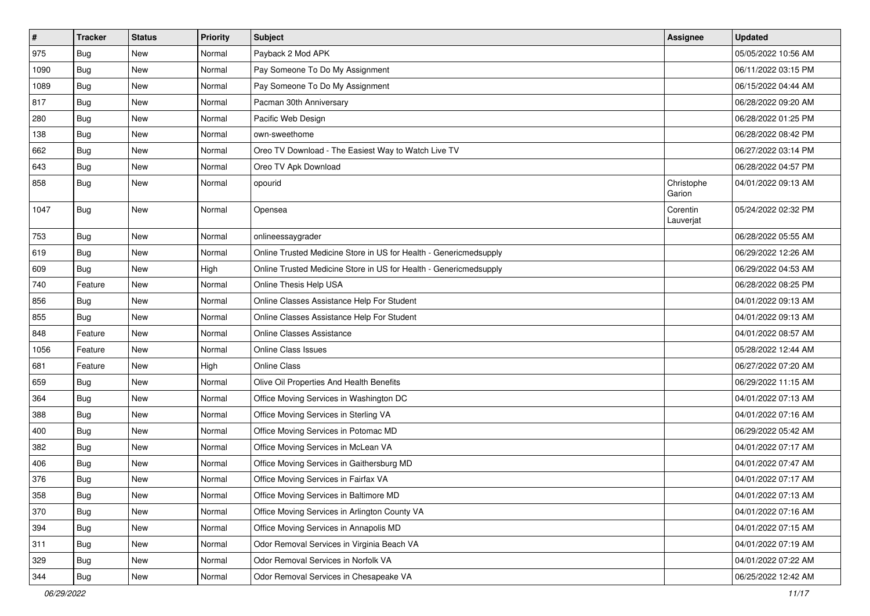| $\sharp$ | <b>Tracker</b> | <b>Status</b> | Priority | Subject                                                           | Assignee              | <b>Updated</b>      |
|----------|----------------|---------------|----------|-------------------------------------------------------------------|-----------------------|---------------------|
| 975      | Bug            | New           | Normal   | Payback 2 Mod APK                                                 |                       | 05/05/2022 10:56 AM |
| 1090     | Bug            | <b>New</b>    | Normal   | Pay Someone To Do My Assignment                                   |                       | 06/11/2022 03:15 PM |
| 1089     | Bug            | New           | Normal   | Pay Someone To Do My Assignment                                   |                       | 06/15/2022 04:44 AM |
| 817      | Bug            | New           | Normal   | Pacman 30th Anniversary                                           |                       | 06/28/2022 09:20 AM |
| 280      | Bug            | <b>New</b>    | Normal   | Pacific Web Design                                                |                       | 06/28/2022 01:25 PM |
| 138      | Bug            | New           | Normal   | own-sweethome                                                     |                       | 06/28/2022 08:42 PM |
| 662      | Bug            | <b>New</b>    | Normal   | Oreo TV Download - The Easiest Way to Watch Live TV               |                       | 06/27/2022 03:14 PM |
| 643      | Bug            | New           | Normal   | Oreo TV Apk Download                                              |                       | 06/28/2022 04:57 PM |
| 858      | Bug            | New           | Normal   | opourid                                                           | Christophe<br>Garion  | 04/01/2022 09:13 AM |
| 1047     | Bug            | New           | Normal   | Opensea                                                           | Corentin<br>Lauverjat | 05/24/2022 02:32 PM |
| 753      | Bug            | <b>New</b>    | Normal   | onlineessaygrader                                                 |                       | 06/28/2022 05:55 AM |
| 619      | Bug            | New           | Normal   | Online Trusted Medicine Store in US for Health - Genericmedsupply |                       | 06/29/2022 12:26 AM |
| 609      | Bug            | New           | High     | Online Trusted Medicine Store in US for Health - Genericmedsupply |                       | 06/29/2022 04:53 AM |
| 740      | Feature        | <b>New</b>    | Normal   | Online Thesis Help USA                                            |                       | 06/28/2022 08:25 PM |
| 856      | Bug            | New           | Normal   | Online Classes Assistance Help For Student                        |                       | 04/01/2022 09:13 AM |
| 855      | Bug            | <b>New</b>    | Normal   | Online Classes Assistance Help For Student                        |                       | 04/01/2022 09:13 AM |
| 848      | Feature        | New           | Normal   | <b>Online Classes Assistance</b>                                  |                       | 04/01/2022 08:57 AM |
| 1056     | Feature        | New           | Normal   | Online Class Issues                                               |                       | 05/28/2022 12:44 AM |
| 681      | Feature        | <b>New</b>    | High     | <b>Online Class</b>                                               |                       | 06/27/2022 07:20 AM |
| 659      | Bug            | New           | Normal   | Olive Oil Properties And Health Benefits                          |                       | 06/29/2022 11:15 AM |
| 364      | Bug            | <b>New</b>    | Normal   | Office Moving Services in Washington DC                           |                       | 04/01/2022 07:13 AM |
| 388      | Bug            | New           | Normal   | Office Moving Services in Sterling VA                             |                       | 04/01/2022 07:16 AM |
| 400      | Bug            | New           | Normal   | Office Moving Services in Potomac MD                              |                       | 06/29/2022 05:42 AM |
| 382      | Bug            | <b>New</b>    | Normal   | Office Moving Services in McLean VA                               |                       | 04/01/2022 07:17 AM |
| 406      | Bug            | New           | Normal   | Office Moving Services in Gaithersburg MD                         |                       | 04/01/2022 07:47 AM |
| 376      | Bug            | New           | Normal   | Office Moving Services in Fairfax VA                              |                       | 04/01/2022 07:17 AM |
| 358      | Bug            | New           | Normal   | Office Moving Services in Baltimore MD                            |                       | 04/01/2022 07:13 AM |
| 370      | Bug            | New           | Normal   | Office Moving Services in Arlington County VA                     |                       | 04/01/2022 07:16 AM |
| 394      | Bug            | New           | Normal   | Office Moving Services in Annapolis MD                            |                       | 04/01/2022 07:15 AM |
| 311      | <b>Bug</b>     | New           | Normal   | Odor Removal Services in Virginia Beach VA                        |                       | 04/01/2022 07:19 AM |
| 329      | <b>Bug</b>     | New           | Normal   | Odor Removal Services in Norfolk VA                               |                       | 04/01/2022 07:22 AM |
| 344      | <b>Bug</b>     | New           | Normal   | Odor Removal Services in Chesapeake VA                            |                       | 06/25/2022 12:42 AM |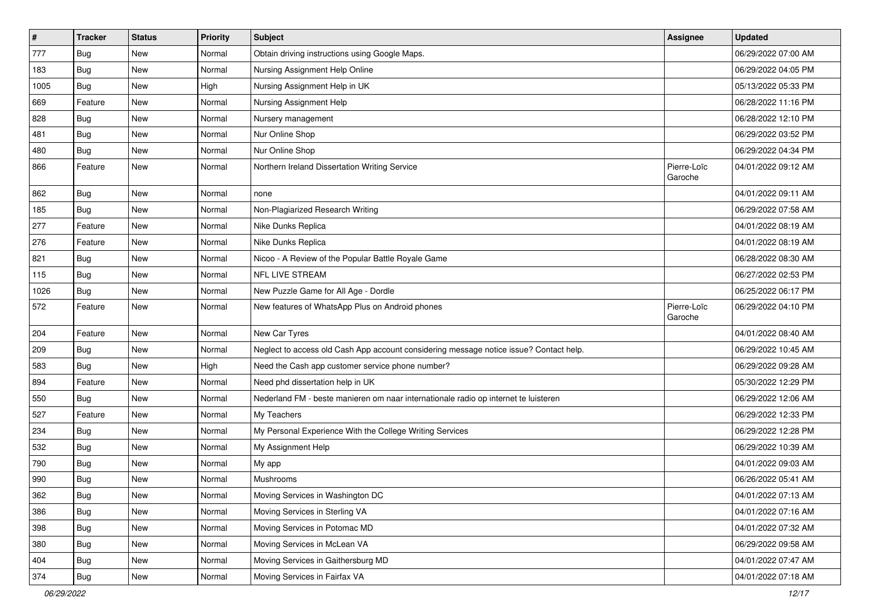| $\pmb{\#}$ | <b>Tracker</b> | <b>Status</b> | Priority | Subject                                                                                | Assignee               | <b>Updated</b>      |
|------------|----------------|---------------|----------|----------------------------------------------------------------------------------------|------------------------|---------------------|
| 777        | Bug            | New           | Normal   | Obtain driving instructions using Google Maps.                                         |                        | 06/29/2022 07:00 AM |
| 183        | Bug            | <b>New</b>    | Normal   | Nursing Assignment Help Online                                                         |                        | 06/29/2022 04:05 PM |
| 1005       | Bug            | New           | High     | Nursing Assignment Help in UK                                                          |                        | 05/13/2022 05:33 PM |
| 669        | Feature        | New           | Normal   | Nursing Assignment Help                                                                |                        | 06/28/2022 11:16 PM |
| 828        | Bug            | <b>New</b>    | Normal   | Nursery management                                                                     |                        | 06/28/2022 12:10 PM |
| 481        | <b>Bug</b>     | New           | Normal   | Nur Online Shop                                                                        |                        | 06/29/2022 03:52 PM |
| 480        | Bug            | <b>New</b>    | Normal   | Nur Online Shop                                                                        |                        | 06/29/2022 04:34 PM |
| 866        | Feature        | New           | Normal   | Northern Ireland Dissertation Writing Service                                          | Pierre-Loïc<br>Garoche | 04/01/2022 09:12 AM |
| 862        | <b>Bug</b>     | <b>New</b>    | Normal   | none                                                                                   |                        | 04/01/2022 09:11 AM |
| 185        | Bug            | New           | Normal   | Non-Plagiarized Research Writing                                                       |                        | 06/29/2022 07:58 AM |
| 277        | Feature        | <b>New</b>    | Normal   | Nike Dunks Replica                                                                     |                        | 04/01/2022 08:19 AM |
| 276        | Feature        | <b>New</b>    | Normal   | Nike Dunks Replica                                                                     |                        | 04/01/2022 08:19 AM |
| 821        | Bug            | New           | Normal   | Nicoo - A Review of the Popular Battle Royale Game                                     |                        | 06/28/2022 08:30 AM |
| 115        | <b>Bug</b>     | <b>New</b>    | Normal   | NFL LIVE STREAM                                                                        |                        | 06/27/2022 02:53 PM |
| 1026       | Bug            | New           | Normal   | New Puzzle Game for All Age - Dordle                                                   |                        | 06/25/2022 06:17 PM |
| 572        | Feature        | New           | Normal   | New features of WhatsApp Plus on Android phones                                        | Pierre-Loïc<br>Garoche | 06/29/2022 04:10 PM |
| 204        | Feature        | New           | Normal   | New Car Tyres                                                                          |                        | 04/01/2022 08:40 AM |
| 209        | Bug            | New           | Normal   | Neglect to access old Cash App account considering message notice issue? Contact help. |                        | 06/29/2022 10:45 AM |
| 583        | Bug            | <b>New</b>    | High     | Need the Cash app customer service phone number?                                       |                        | 06/29/2022 09:28 AM |
| 894        | Feature        | <b>New</b>    | Normal   | Need phd dissertation help in UK                                                       |                        | 05/30/2022 12:29 PM |
| 550        | Bug            | New           | Normal   | Nederland FM - beste manieren om naar internationale radio op internet te luisteren    |                        | 06/29/2022 12:06 AM |
| 527        | Feature        | New           | Normal   | My Teachers                                                                            |                        | 06/29/2022 12:33 PM |
| 234        | Bug            | New           | Normal   | My Personal Experience With the College Writing Services                               |                        | 06/29/2022 12:28 PM |
| 532        | <b>Bug</b>     | <b>New</b>    | Normal   | My Assignment Help                                                                     |                        | 06/29/2022 10:39 AM |
| 790        | Bug            | New           | Normal   | My app                                                                                 |                        | 04/01/2022 09:03 AM |
| 990        | Bug            | New           | Normal   | Mushrooms                                                                              |                        | 06/26/2022 05:41 AM |
| 362        | Bug            | New           | Normal   | Moving Services in Washington DC                                                       |                        | 04/01/2022 07:13 AM |
| 386        | Bug            | New           | Normal   | Moving Services in Sterling VA                                                         |                        | 04/01/2022 07:16 AM |
| 398        | Bug            | New           | Normal   | Moving Services in Potomac MD                                                          |                        | 04/01/2022 07:32 AM |
| 380        | <b>Bug</b>     | New           | Normal   | Moving Services in McLean VA                                                           |                        | 06/29/2022 09:58 AM |
| 404        | Bug            | New           | Normal   | Moving Services in Gaithersburg MD                                                     |                        | 04/01/2022 07:47 AM |
| 374        | <b>Bug</b>     | New           | Normal   | Moving Services in Fairfax VA                                                          |                        | 04/01/2022 07:18 AM |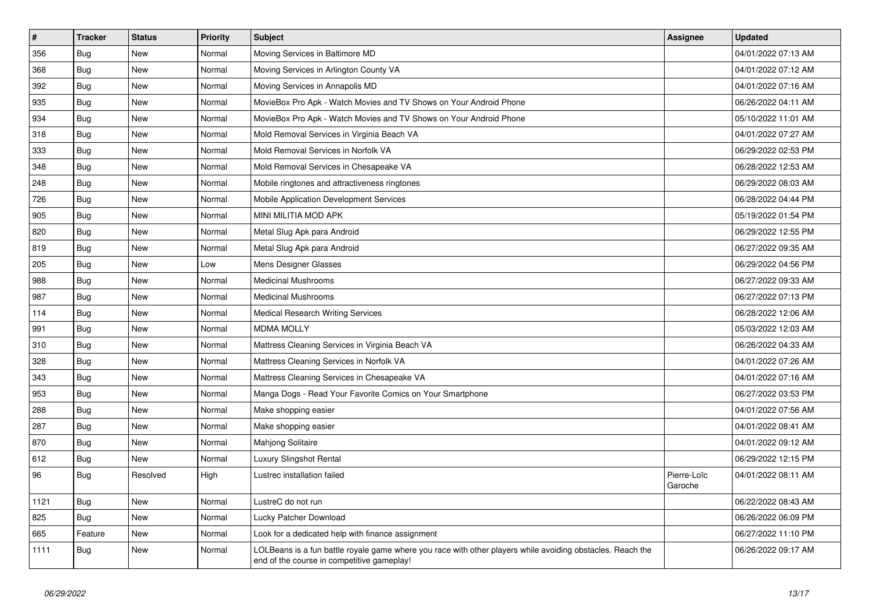| $\vert$ # | <b>Tracker</b> | <b>Status</b> | <b>Priority</b> | <b>Subject</b>                                                                                                                                           | <b>Assignee</b>        | <b>Updated</b>      |
|-----------|----------------|---------------|-----------------|----------------------------------------------------------------------------------------------------------------------------------------------------------|------------------------|---------------------|
| 356       | Bug            | <b>New</b>    | Normal          | Moving Services in Baltimore MD                                                                                                                          |                        | 04/01/2022 07:13 AM |
| 368       | Bug            | <b>New</b>    | Normal          | Moving Services in Arlington County VA                                                                                                                   |                        | 04/01/2022 07:12 AM |
| 392       | Bug            | New           | Normal          | Moving Services in Annapolis MD                                                                                                                          |                        | 04/01/2022 07:16 AM |
| 935       | Bug            | New           | Normal          | MovieBox Pro Apk - Watch Movies and TV Shows on Your Android Phone                                                                                       |                        | 06/26/2022 04:11 AM |
| 934       | Bug            | New           | Normal          | MovieBox Pro Apk - Watch Movies and TV Shows on Your Android Phone                                                                                       |                        | 05/10/2022 11:01 AM |
| 318       | Bug            | New           | Normal          | Mold Removal Services in Virginia Beach VA                                                                                                               |                        | 04/01/2022 07:27 AM |
| 333       | Bug            | New           | Normal          | Mold Removal Services in Norfolk VA                                                                                                                      |                        | 06/29/2022 02:53 PM |
| 348       | Bug            | New           | Normal          | Mold Removal Services in Chesapeake VA                                                                                                                   |                        | 06/28/2022 12:53 AM |
| 248       | <b>Bug</b>     | New           | Normal          | Mobile ringtones and attractiveness ringtones                                                                                                            |                        | 06/29/2022 08:03 AM |
| 726       | Bug            | New           | Normal          | Mobile Application Development Services                                                                                                                  |                        | 06/28/2022 04:44 PM |
| 905       | Bug            | New           | Normal          | MINI MILITIA MOD APK                                                                                                                                     |                        | 05/19/2022 01:54 PM |
| 820       | Bug            | New           | Normal          | Metal Slug Apk para Android                                                                                                                              |                        | 06/29/2022 12:55 PM |
| 819       | Bug            | New           | Normal          | Metal Slug Apk para Android                                                                                                                              |                        | 06/27/2022 09:35 AM |
| 205       | Bug            | New           | Low             | Mens Designer Glasses                                                                                                                                    |                        | 06/29/2022 04:56 PM |
| 988       | Bug            | New           | Normal          | <b>Medicinal Mushrooms</b>                                                                                                                               |                        | 06/27/2022 09:33 AM |
| 987       | Bug            | New           | Normal          | <b>Medicinal Mushrooms</b>                                                                                                                               |                        | 06/27/2022 07:13 PM |
| 114       | <b>Bug</b>     | New           | Normal          | <b>Medical Research Writing Services</b>                                                                                                                 |                        | 06/28/2022 12:06 AM |
| 991       | Bug            | <b>New</b>    | Normal          | <b>MDMA MOLLY</b>                                                                                                                                        |                        | 05/03/2022 12:03 AM |
| 310       | Bug            | <b>New</b>    | Normal          | Mattress Cleaning Services in Virginia Beach VA                                                                                                          |                        | 06/26/2022 04:33 AM |
| 328       | Bug            | New           | Normal          | Mattress Cleaning Services in Norfolk VA                                                                                                                 |                        | 04/01/2022 07:26 AM |
| 343       | Bug            | <b>New</b>    | Normal          | Mattress Cleaning Services in Chesapeake VA                                                                                                              |                        | 04/01/2022 07:16 AM |
| 953       | Bug            | New           | Normal          | Manga Dogs - Read Your Favorite Comics on Your Smartphone                                                                                                |                        | 06/27/2022 03:53 PM |
| 288       | Bug            | New           | Normal          | Make shopping easier                                                                                                                                     |                        | 04/01/2022 07:56 AM |
| 287       | <b>Bug</b>     | New           | Normal          | Make shopping easier                                                                                                                                     |                        | 04/01/2022 08:41 AM |
| 870       | <b>Bug</b>     | New           | Normal          | Mahjong Solitaire                                                                                                                                        |                        | 04/01/2022 09:12 AM |
| 612       | <b>Bug</b>     | <b>New</b>    | Normal          | <b>Luxury Slingshot Rental</b>                                                                                                                           |                        | 06/29/2022 12:15 PM |
| 96        | Bug            | Resolved      | High            | Lustrec installation failed                                                                                                                              | Pierre-Loïc<br>Garoche | 04/01/2022 08:11 AM |
| 1121      | Bug            | <b>New</b>    | Normal          | LustreC do not run                                                                                                                                       |                        | 06/22/2022 08:43 AM |
| 825       | Bug            | <b>New</b>    | Normal          | Lucky Patcher Download                                                                                                                                   |                        | 06/26/2022 06:09 PM |
| 665       | Feature        | <b>New</b>    | Normal          | Look for a dedicated help with finance assignment                                                                                                        |                        | 06/27/2022 11:10 PM |
| 1111      | Bug            | New           | Normal          | LOLBeans is a fun battle royale game where you race with other players while avoiding obstacles. Reach the<br>end of the course in competitive gameplay! |                        | 06/26/2022 09:17 AM |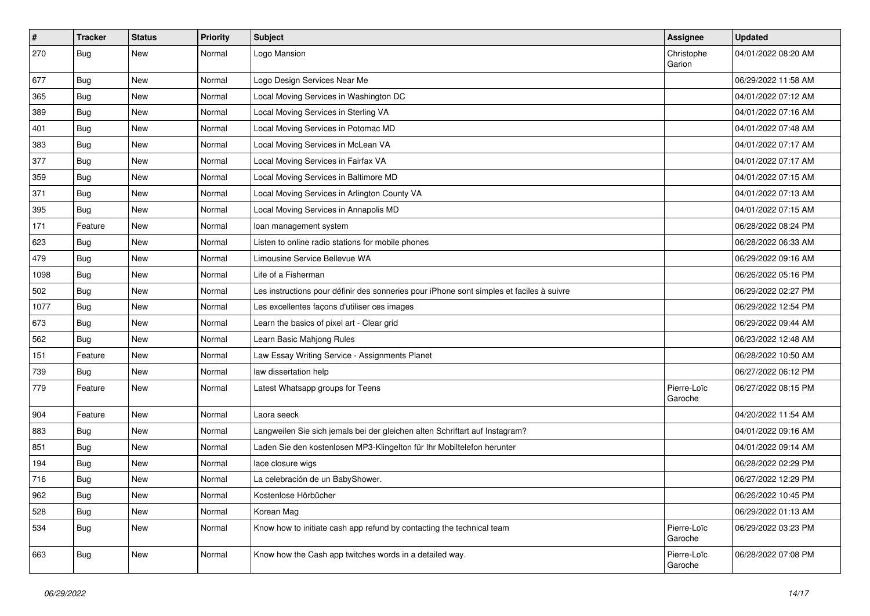| $\vert$ # | <b>Tracker</b> | <b>Status</b> | Priority | <b>Subject</b>                                                                           | <b>Assignee</b>        | <b>Updated</b>      |
|-----------|----------------|---------------|----------|------------------------------------------------------------------------------------------|------------------------|---------------------|
| 270       | Bug            | New           | Normal   | Logo Mansion                                                                             | Christophe<br>Garion   | 04/01/2022 08:20 AM |
| 677       | Bug            | New           | Normal   | Logo Design Services Near Me                                                             |                        | 06/29/2022 11:58 AM |
| 365       | Bug            | New           | Normal   | Local Moving Services in Washington DC                                                   |                        | 04/01/2022 07:12 AM |
| 389       | Bug            | <b>New</b>    | Normal   | Local Moving Services in Sterling VA                                                     |                        | 04/01/2022 07:16 AM |
| 401       | Bug            | New           | Normal   | Local Moving Services in Potomac MD                                                      |                        | 04/01/2022 07:48 AM |
| 383       | Bug            | New           | Normal   | Local Moving Services in McLean VA                                                       |                        | 04/01/2022 07:17 AM |
| 377       | Bug            | New           | Normal   | Local Moving Services in Fairfax VA                                                      |                        | 04/01/2022 07:17 AM |
| 359       | Bug            | New           | Normal   | Local Moving Services in Baltimore MD                                                    |                        | 04/01/2022 07:15 AM |
| 371       | Bug            | <b>New</b>    | Normal   | Local Moving Services in Arlington County VA                                             |                        | 04/01/2022 07:13 AM |
| 395       | Bug            | New           | Normal   | Local Moving Services in Annapolis MD                                                    |                        | 04/01/2022 07:15 AM |
| 171       | Feature        | New           | Normal   | loan management system                                                                   |                        | 06/28/2022 08:24 PM |
| 623       | Bug            | New           | Normal   | Listen to online radio stations for mobile phones                                        |                        | 06/28/2022 06:33 AM |
| 479       | Bug            | New           | Normal   | Limousine Service Bellevue WA                                                            |                        | 06/29/2022 09:16 AM |
| 1098      | Bug            | <b>New</b>    | Normal   | Life of a Fisherman                                                                      |                        | 06/26/2022 05:16 PM |
| 502       | Bug            | New           | Normal   | Les instructions pour définir des sonneries pour iPhone sont simples et faciles à suivre |                        | 06/29/2022 02:27 PM |
| 1077      | Bug            | New           | Normal   | Les excellentes façons d'utiliser ces images                                             |                        | 06/29/2022 12:54 PM |
| 673       | Bug            | New           | Normal   | Learn the basics of pixel art - Clear grid                                               |                        | 06/29/2022 09:44 AM |
| 562       | Bug            | New           | Normal   | Learn Basic Mahjong Rules                                                                |                        | 06/23/2022 12:48 AM |
| 151       | Feature        | New           | Normal   | Law Essay Writing Service - Assignments Planet                                           |                        | 06/28/2022 10:50 AM |
| 739       | Bug            | New           | Normal   | law dissertation help                                                                    |                        | 06/27/2022 06:12 PM |
| 779       | Feature        | New           | Normal   | Latest Whatsapp groups for Teens                                                         | Pierre-Loïc<br>Garoche | 06/27/2022 08:15 PM |
| 904       | Feature        | New           | Normal   | Laora seeck                                                                              |                        | 04/20/2022 11:54 AM |
| 883       | Bug            | New           | Normal   | Langweilen Sie sich jemals bei der gleichen alten Schriftart auf Instagram?              |                        | 04/01/2022 09:16 AM |
| 851       | Bug            | New           | Normal   | Laden Sie den kostenlosen MP3-Klingelton für Ihr Mobiltelefon herunter                   |                        | 04/01/2022 09:14 AM |
| 194       | Bug            | New           | Normal   | lace closure wigs                                                                        |                        | 06/28/2022 02:29 PM |
| 716       | Bug            | New           | Normal   | La celebración de un BabyShower.                                                         |                        | 06/27/2022 12:29 PM |
| 962       | <b>Bug</b>     | New           | Normal   | Kostenlose Hörbücher                                                                     |                        | 06/26/2022 10:45 PM |
| 528       | Bug            | New           | Normal   | Korean Mag                                                                               |                        | 06/29/2022 01:13 AM |
| 534       | Bug            | New           | Normal   | Know how to initiate cash app refund by contacting the technical team                    | Pierre-Loïc<br>Garoche | 06/29/2022 03:23 PM |
| 663       | Bug            | New           | Normal   | Know how the Cash app twitches words in a detailed way.                                  | Pierre-Loïc<br>Garoche | 06/28/2022 07:08 PM |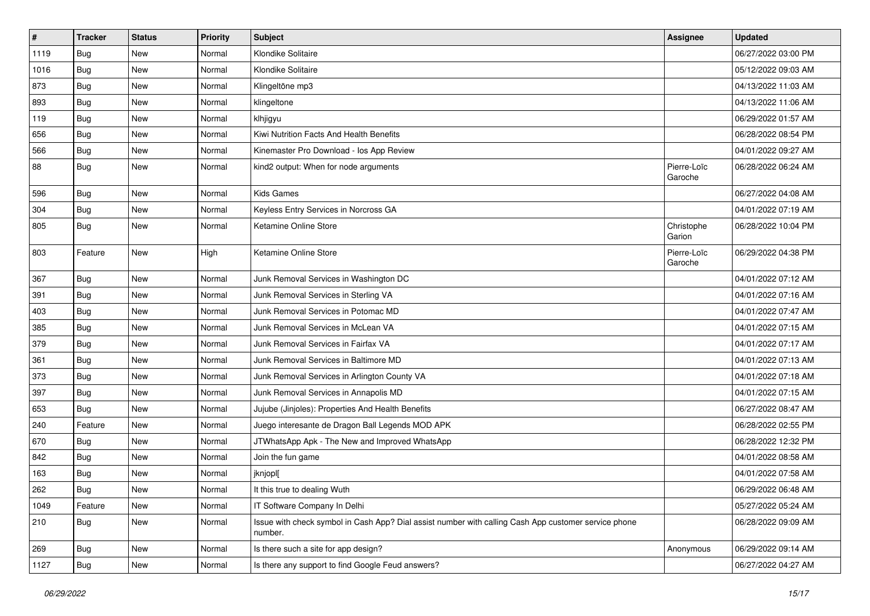| $\vert$ # | <b>Tracker</b> | <b>Status</b> | Priority | <b>Subject</b>                                                                                                  | <b>Assignee</b>        | <b>Updated</b>      |
|-----------|----------------|---------------|----------|-----------------------------------------------------------------------------------------------------------------|------------------------|---------------------|
| 1119      | Bug            | New           | Normal   | Klondike Solitaire                                                                                              |                        | 06/27/2022 03:00 PM |
| 1016      | Bug            | <b>New</b>    | Normal   | Klondike Solitaire                                                                                              |                        | 05/12/2022 09:03 AM |
| 873       | Bug            | New           | Normal   | Klingeltöne mp3                                                                                                 |                        | 04/13/2022 11:03 AM |
| 893       | Bug            | New           | Normal   | klingeltone                                                                                                     |                        | 04/13/2022 11:06 AM |
| 119       | Bug            | New           | Normal   | klhjigyu                                                                                                        |                        | 06/29/2022 01:57 AM |
| 656       | Bug            | New           | Normal   | Kiwi Nutrition Facts And Health Benefits                                                                        |                        | 06/28/2022 08:54 PM |
| 566       | Bug            | New           | Normal   | Kinemaster Pro Download - los App Review                                                                        |                        | 04/01/2022 09:27 AM |
| 88        | Bug            | New           | Normal   | kind2 output: When for node arguments                                                                           | Pierre-Loïc<br>Garoche | 06/28/2022 06:24 AM |
| 596       | Bug            | <b>New</b>    | Normal   | <b>Kids Games</b>                                                                                               |                        | 06/27/2022 04:08 AM |
| 304       | Bug            | New           | Normal   | Keyless Entry Services in Norcross GA                                                                           |                        | 04/01/2022 07:19 AM |
| 805       | Bug            | New           | Normal   | Ketamine Online Store                                                                                           | Christophe<br>Garion   | 06/28/2022 10:04 PM |
| 803       | Feature        | New           | High     | Ketamine Online Store                                                                                           | Pierre-Loïc<br>Garoche | 06/29/2022 04:38 PM |
| 367       | Bug            | New           | Normal   | Junk Removal Services in Washington DC                                                                          |                        | 04/01/2022 07:12 AM |
| 391       | Bug            | New           | Normal   | Junk Removal Services in Sterling VA                                                                            |                        | 04/01/2022 07:16 AM |
| 403       | Bug            | <b>New</b>    | Normal   | Junk Removal Services in Potomac MD                                                                             |                        | 04/01/2022 07:47 AM |
| 385       | Bug            | New           | Normal   | Junk Removal Services in McLean VA                                                                              |                        | 04/01/2022 07:15 AM |
| 379       | Bug            | New           | Normal   | Junk Removal Services in Fairfax VA                                                                             |                        | 04/01/2022 07:17 AM |
| 361       | Bug            | New           | Normal   | Junk Removal Services in Baltimore MD                                                                           |                        | 04/01/2022 07:13 AM |
| 373       | Bug            | New           | Normal   | Junk Removal Services in Arlington County VA                                                                    |                        | 04/01/2022 07:18 AM |
| 397       | Bug            | New           | Normal   | Junk Removal Services in Annapolis MD                                                                           |                        | 04/01/2022 07:15 AM |
| 653       | Bug            | New           | Normal   | Jujube (Jinjoles): Properties And Health Benefits                                                               |                        | 06/27/2022 08:47 AM |
| 240       | Feature        | New           | Normal   | Juego interesante de Dragon Ball Legends MOD APK                                                                |                        | 06/28/2022 02:55 PM |
| 670       | Bug            | New           | Normal   | JTWhatsApp Apk - The New and Improved WhatsApp                                                                  |                        | 06/28/2022 12:32 PM |
| 842       | Bug            | New           | Normal   | Join the fun game                                                                                               |                        | 04/01/2022 08:58 AM |
| 163       | Bug            | New           | Normal   | jknjopl[                                                                                                        |                        | 04/01/2022 07:58 AM |
| 262       | Bug            | New           | Normal   | It this true to dealing Wuth                                                                                    |                        | 06/29/2022 06:48 AM |
| 1049      | Feature        | New           | Normal   | IT Software Company In Delhi                                                                                    |                        | 05/27/2022 05:24 AM |
| 210       | Bug            | New           | Normal   | Issue with check symbol in Cash App? Dial assist number with calling Cash App customer service phone<br>number. |                        | 06/28/2022 09:09 AM |
| 269       | Bug            | New           | Normal   | Is there such a site for app design?                                                                            | Anonymous              | 06/29/2022 09:14 AM |
| 1127      | Bug            | New           | Normal   | Is there any support to find Google Feud answers?                                                               |                        | 06/27/2022 04:27 AM |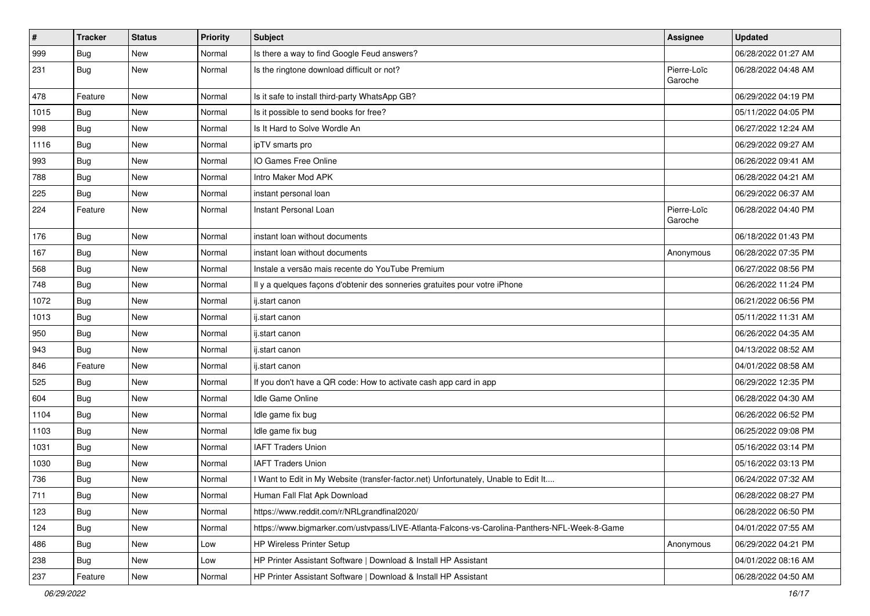| $\sharp$ | <b>Tracker</b> | <b>Status</b> | Priority | <b>Subject</b>                                                                               | Assignee               | <b>Updated</b>      |
|----------|----------------|---------------|----------|----------------------------------------------------------------------------------------------|------------------------|---------------------|
| 999      | Bug            | New           | Normal   | Is there a way to find Google Feud answers?                                                  |                        | 06/28/2022 01:27 AM |
| 231      | Bug            | New           | Normal   | Is the ringtone download difficult or not?                                                   | Pierre-Loïc<br>Garoche | 06/28/2022 04:48 AM |
| 478      | Feature        | New           | Normal   | Is it safe to install third-party WhatsApp GB?                                               |                        | 06/29/2022 04:19 PM |
| 1015     | Bug            | New           | Normal   | Is it possible to send books for free?                                                       |                        | 05/11/2022 04:05 PM |
| 998      | Bug            | New           | Normal   | Is It Hard to Solve Wordle An                                                                |                        | 06/27/2022 12:24 AM |
| 1116     | Bug            | New           | Normal   | ipTV smarts pro                                                                              |                        | 06/29/2022 09:27 AM |
| 993      | Bug            | <b>New</b>    | Normal   | IO Games Free Online                                                                         |                        | 06/26/2022 09:41 AM |
| 788      | Bug            | New           | Normal   | Intro Maker Mod APK                                                                          |                        | 06/28/2022 04:21 AM |
| 225      | Bug            | <b>New</b>    | Normal   | instant personal loan                                                                        |                        | 06/29/2022 06:37 AM |
| 224      | Feature        | New           | Normal   | Instant Personal Loan                                                                        | Pierre-Loïc<br>Garoche | 06/28/2022 04:40 PM |
| 176      | Bug            | New           | Normal   | instant loan without documents                                                               |                        | 06/18/2022 01:43 PM |
| 167      | Bug            | New           | Normal   | instant loan without documents                                                               | Anonymous              | 06/28/2022 07:35 PM |
| 568      | Bug            | New           | Normal   | Instale a versão mais recente do YouTube Premium                                             |                        | 06/27/2022 08:56 PM |
| 748      | Bug            | <b>New</b>    | Normal   | Il y a quelques façons d'obtenir des sonneries gratuites pour votre iPhone                   |                        | 06/26/2022 11:24 PM |
| 1072     | Bug            | New           | Normal   | ij.start canon                                                                               |                        | 06/21/2022 06:56 PM |
| 1013     | Bug            | New           | Normal   | ij.start canon                                                                               |                        | 05/11/2022 11:31 AM |
| 950      | Bug            | New           | Normal   | ij.start canon                                                                               |                        | 06/26/2022 04:35 AM |
| 943      | Bug            | New           | Normal   | ij.start canon                                                                               |                        | 04/13/2022 08:52 AM |
| 846      | Feature        | New           | Normal   | ij.start canon                                                                               |                        | 04/01/2022 08:58 AM |
| 525      | Bug            | New           | Normal   | If you don't have a QR code: How to activate cash app card in app                            |                        | 06/29/2022 12:35 PM |
| 604      | Bug            | <b>New</b>    | Normal   | Idle Game Online                                                                             |                        | 06/28/2022 04:30 AM |
| 1104     | Bug            | New           | Normal   | Idle game fix bug                                                                            |                        | 06/26/2022 06:52 PM |
| 1103     | Bug            | New           | Normal   | Idle game fix bug                                                                            |                        | 06/25/2022 09:08 PM |
| 1031     | Bug            | New           | Normal   | <b>IAFT Traders Union</b>                                                                    |                        | 05/16/2022 03:14 PM |
| 1030     | Bug            | New           | Normal   | <b>IAFT Traders Union</b>                                                                    |                        | 05/16/2022 03:13 PM |
| 736      | Bug            | New           | Normal   | I Want to Edit in My Website (transfer-factor.net) Unfortunately, Unable to Edit It          |                        | 06/24/2022 07:32 AM |
| 711      | Bug            | New           | Normal   | Human Fall Flat Apk Download                                                                 |                        | 06/28/2022 08:27 PM |
| 123      | Bug            | New           | Normal   | https://www.reddit.com/r/NRLgrandfinal2020/                                                  |                        | 06/28/2022 06:50 PM |
| 124      | Bug            | New           | Normal   | https://www.bigmarker.com/ustvpass/LIVE-Atlanta-Falcons-vs-Carolina-Panthers-NFL-Week-8-Game |                        | 04/01/2022 07:55 AM |
| 486      | <b>Bug</b>     | New           | Low      | HP Wireless Printer Setup                                                                    | Anonymous              | 06/29/2022 04:21 PM |
| 238      | <b>Bug</b>     | New           | Low      | HP Printer Assistant Software   Download & Install HP Assistant                              |                        | 04/01/2022 08:16 AM |
| 237      | Feature        | New           | Normal   | HP Printer Assistant Software   Download & Install HP Assistant                              |                        | 06/28/2022 04:50 AM |